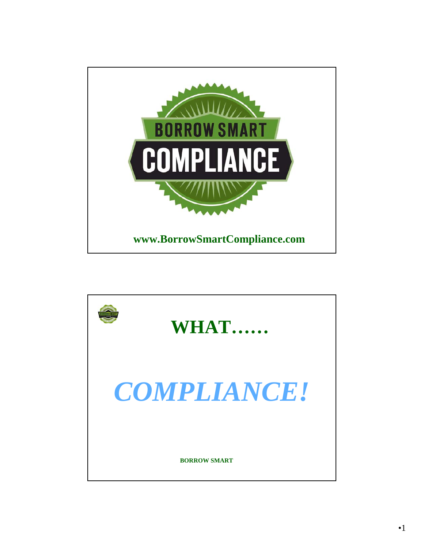

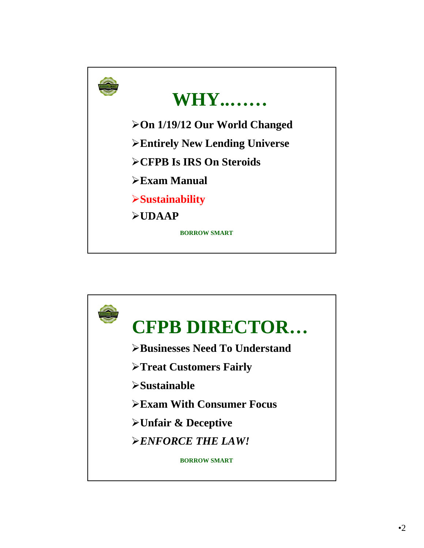

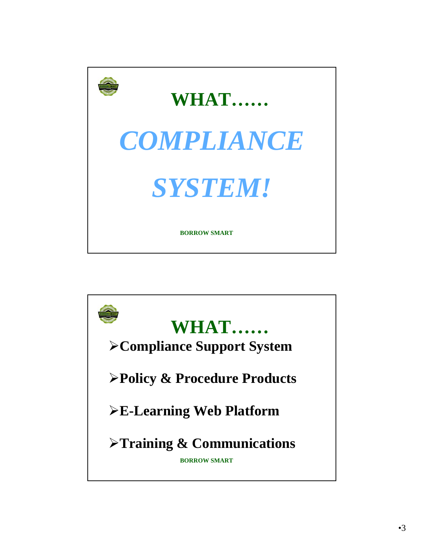

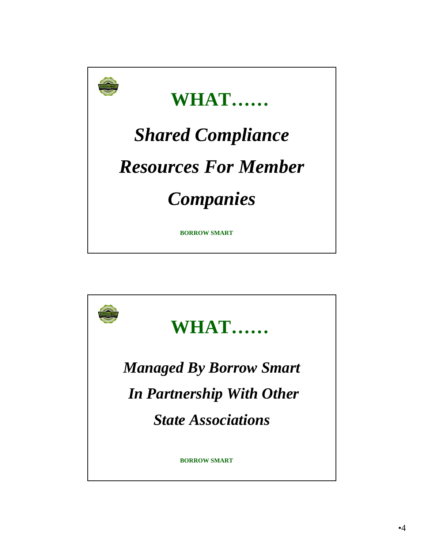

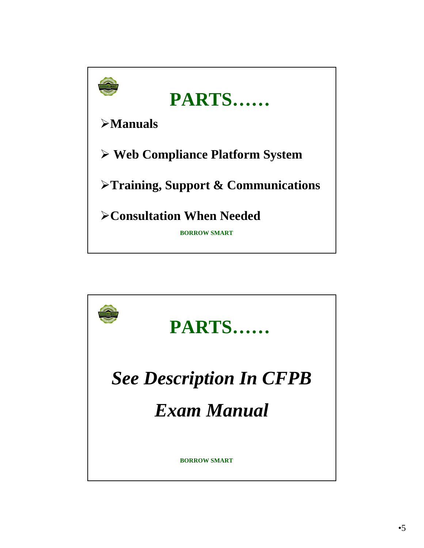

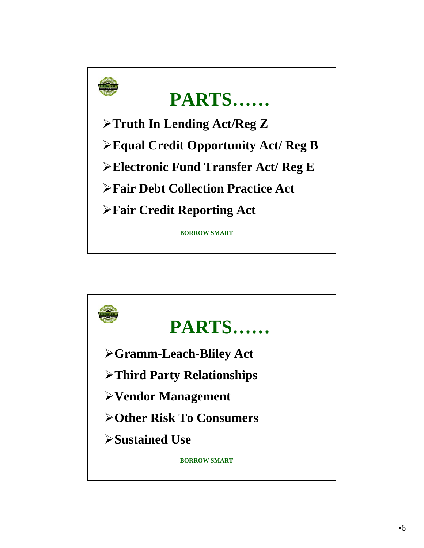

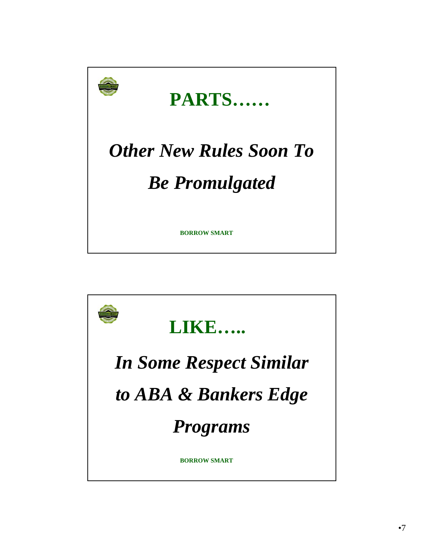

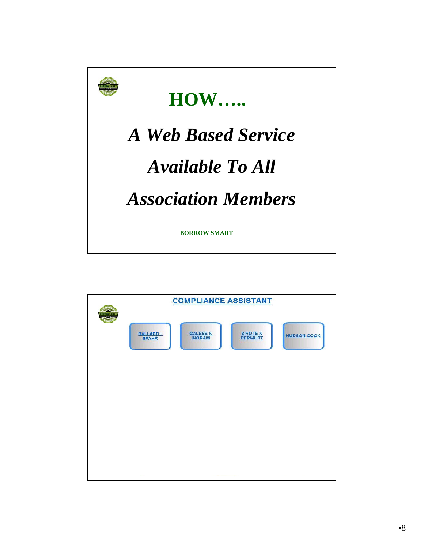

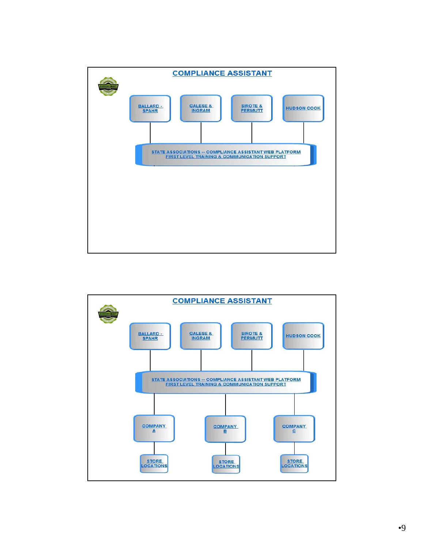

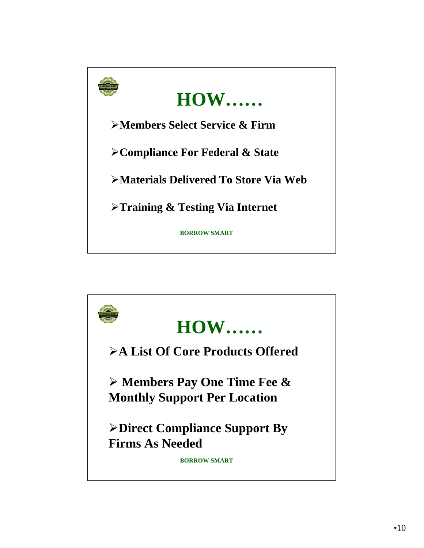

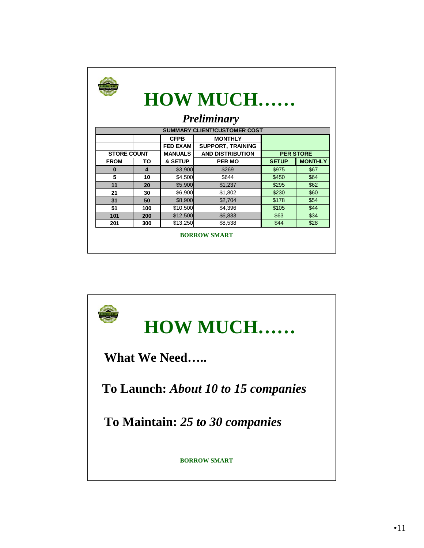| <b>HOW MUCH</b><br><b>Preliminary</b> |                         |                 |                          |                  |                |
|---------------------------------------|-------------------------|-----------------|--------------------------|------------------|----------------|
| <b>SUMMARY CLIENT/CUSTOMER COST</b>   |                         |                 |                          |                  |                |
|                                       |                         | <b>CFPB</b>     | <b>MONTHLY</b>           |                  |                |
|                                       |                         | <b>FED EXAM</b> | <b>SUPPORT, TRAINING</b> |                  |                |
| <b>STORE COUNT</b>                    |                         | <b>MANUALS</b>  | <b>AND DISTRIBUTION</b>  | <b>PER STORE</b> |                |
| <b>FROM</b>                           | TO                      | & SETUP         | <b>PER MO</b>            | <b>SETUP</b>     | <b>MONTHLY</b> |
| $\bf{0}$                              | $\overline{\mathbf{4}}$ | \$3,900         | \$269                    | \$975            | \$67           |
| 5                                     | 10                      | \$4,500         | \$644                    | \$450            | \$64           |
| 11                                    | 20                      | \$5,900         | \$1,237                  | \$295            | \$62           |
| 21                                    | 30                      | \$6,900         | \$1,802                  | \$230            | \$60           |
| 31                                    | 50                      | \$8,900         | \$2,704                  | \$178            | \$54           |
| 51                                    | 100                     | \$10,500        | \$4,396                  | \$105            | \$44           |
| 101                                   | 200                     | \$12,500        | \$6,833                  | \$63             | \$34           |
| 201                                   | 300                     | \$13,250        | \$8,538                  | \$44             | \$28           |
| <b>BORROW SMART</b>                   |                         |                 |                          |                  |                |

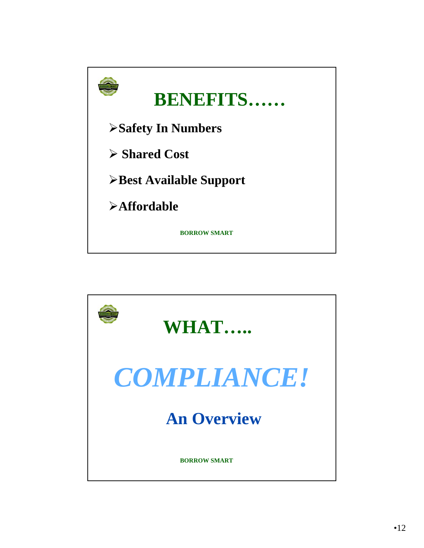

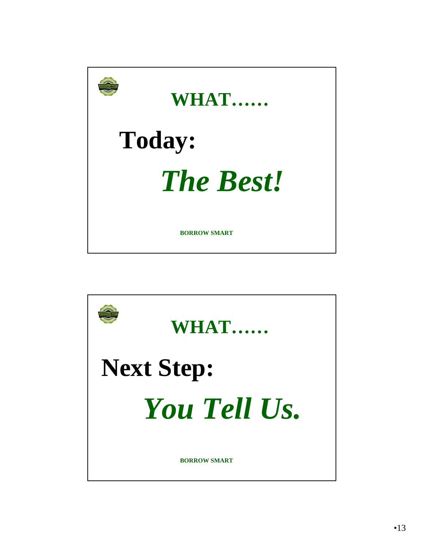